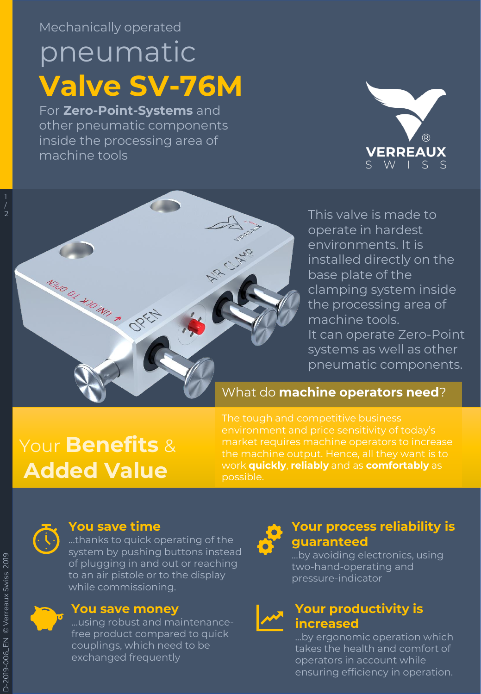Mechanically operated

# pneumatic **Valve SV-76M**

For **Zero-Point-Systems** and other pneumatic components inside the processing area of machine tools





This valve is made to operate in hardest environments. It is installed directly on the base plate of the clamping system inside the processing area of machine tools. It can operate Zero-Point systems as well as other pneumatic components.

#### What do **machine operators need**?

# Your **Benefits** & **Added Value**

The tough and competitive business environment and price sensitivity of today's market requires machine operators to increase work **quickly**, **reliably** and as **comfortably** as possible.



#### **You save time**

…thanks to quick operating of the system by pushing buttons instead of plugging in and out or reaching to an air pistole or to the display while commissioning.

#### **You save money**

…using robust and maintenancefree product compared to quick couplings, which need to be exchanged frequently



#### **Your process reliability is guaranteed**

…by avoiding electronics, using two-hand-operating and pressure-indicator



#### **Your productivity is increased**

…by ergonomic operation which takes the health and comfort of operators in account while ensuring efficiency in operation.

1 / 2